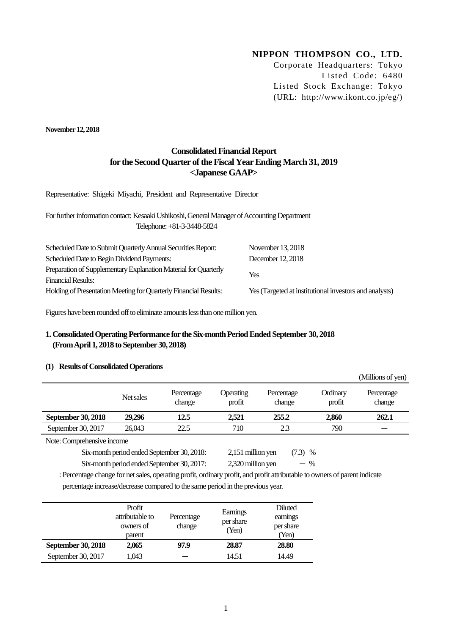# **NIPPON THOMPSON CO., LTD.**

Corporate Headquarters: Tokyo Listed Code: 6480 Listed Stock Exchange: Tokyo (URL: http://www.ikont.co.jp/eg/)

 $(0.611)$ 

**November12, 2018**

## **Consolidated Financial Report for the Second Quarter of the Fiscal Year Ending March 31, 2019 <Japanese GAAP>**

Representative: Shigeki Miyachi, President and Representative Director

For further information contact: Kesaaki Ushikoshi, General Manager of Accounting Department Telephone: +81-3-3448-5824

| November 13, 2018                                      |
|--------------------------------------------------------|
| December 12, 2018                                      |
| Yes                                                    |
|                                                        |
| Yes (Targeted at institutional investors and analysts) |
|                                                        |

Figures have been rounded off to eliminate amounts less than one million yen.

## **1. Consolidated Operating Performance for the Six-month Period Ended September 30, 2018 (From April 1, 2018 to September30, 2018)**

### **(1) Results of Consolidated Operations**

|                           |           |                      |                     |                      |                    | (TATHIOTIS OF ACIT)  |
|---------------------------|-----------|----------------------|---------------------|----------------------|--------------------|----------------------|
|                           | Net sales | Percentage<br>change | Operating<br>profit | Percentage<br>change | Ordinary<br>profit | Percentage<br>change |
| <b>September 30, 2018</b> | 29.296    | 12.5                 | 2.521               | 255.2                | 2.860              | 262.1                |
| September 30, 2017        | 26,043    | 22.5                 | 710                 | 2.3                  | 790                |                      |

Note: Comprehensive income

Six-month period ended September 30, 2018: 2,151 million yen (7.3) %

Six-month period ended September 30, 2017:  $2,320$  million yen  $-$  %

: Percentage change for net sales, operating profit, ordinary profit, and profit attributable to owners of parent indicate

percentage increase/decrease compared to the same period in the previous year.

|                           | Profit<br>attributable to<br>owners of<br>parent | Percentage<br>change | Earnings<br>per share<br>(Yen) | Diluted<br>earnings<br>per share<br>(Yen) |
|---------------------------|--------------------------------------------------|----------------------|--------------------------------|-------------------------------------------|
| <b>September 30, 2018</b> | 2,065                                            | 97.9                 | 28.87                          | 28.80                                     |
| September 30, 2017        | 1,043                                            |                      | 14.51                          | 14.49                                     |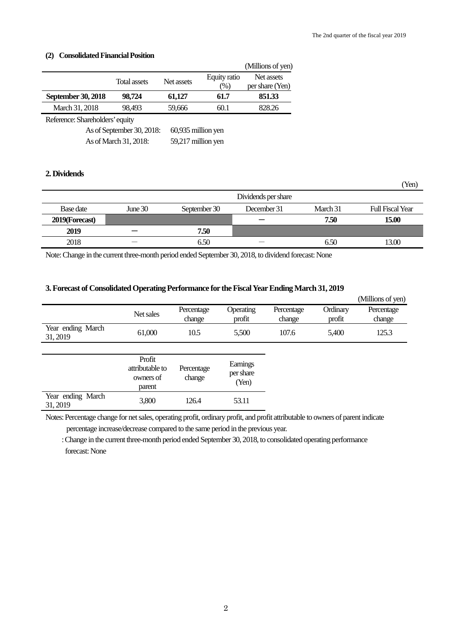(Yen)

## **(2) Consolidated Financial Position**

|                                 |                           |                    |                        | (Millions of yen)             |
|---------------------------------|---------------------------|--------------------|------------------------|-------------------------------|
|                                 | <b>Total assets</b>       | Net assets         | Equity ratio<br>$(\%)$ | Net assets<br>per share (Yen) |
| <b>September 30, 2018</b>       | 98,724                    | 61,127             | 61.7                   | 851.33                        |
| March 31, 2018                  | 98,493                    | 59,666             | 60.1                   | 828.26                        |
| Reference: Shareholders' equity |                           |                    |                        |                               |
|                                 | As of September 30, 2018: | 60,935 million yen |                        |                               |
|                                 | As of March 31, 2018:     | 59,217 million yen |                        |                               |

## **2. Dividends**

|                |           |              | Dividends per share |          |                  |
|----------------|-----------|--------------|---------------------|----------|------------------|
| Base date      | June $30$ | September 30 | December 31         | March 31 | Full Fiscal Year |
| 2019(Forecast) |           |              |                     | 7.50     | 15.00            |
| 2019           |           | 7.50         |                     |          |                  |
| 2018           | _         | 6.50         |                     | 6.50     | 13.00            |

Note:Change in the current three-month period ended September 30, 2018, to dividend forecast: None

### **3. Forecast of Consolidated Operating Performance for the Fiscal Year Ending March 31, 2019**

|                               |                                                  |                      |                                |                      |                    | (Millions of yen)    |
|-------------------------------|--------------------------------------------------|----------------------|--------------------------------|----------------------|--------------------|----------------------|
|                               | Net sales                                        | Percentage<br>change | Operating<br>profit            | Percentage<br>change | Ordinary<br>profit | Percentage<br>change |
| Year ending March<br>31, 2019 | 61,000                                           | 10.5                 | 5,500                          | 107.6                | 5,400              | 125.3                |
|                               |                                                  |                      |                                |                      |                    |                      |
|                               | Profit<br>attributable to<br>owners of<br>parent | Percentage<br>change | Earnings<br>per share<br>(Yen) |                      |                    |                      |
| Year ending March<br>31, 2019 | 3,800                                            | 126.4                | 53.11                          |                      |                    |                      |

Notes: Percentage change for net sales, operating profit, ordinary profit, and profit attributable to owners of parent indicate percentage increase/decrease compared to the same period in the previous year.

: Change in the current three-month period ended September 30, 2018, to consolidated operating performance forecast: None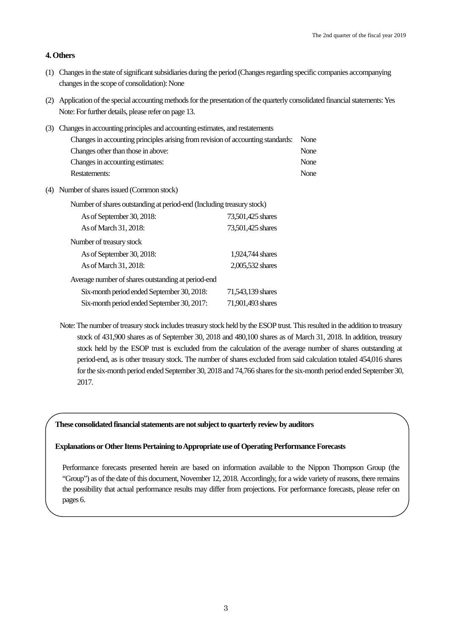## **4. Others**

- (1) Changes in the state of significant subsidiaries during the period (Changes regarding specific companies accompanying changes in the scope of consolidation): None
- (2) Application of the special accounting methods for the presentation of the quarterly consolidated financial statements: Yes Note: For further details, please refer on page 13.

| (3) Changes in accounting principles and accounting estimates, and restatements |      |
|---------------------------------------------------------------------------------|------|
| Changes in accounting principles arising from revision of accounting standards: | None |
| Changes other than those in above:                                              | None |
| Changes in accounting estimates:                                                | None |
| Restatements:                                                                   | None |

(4) Number of shares issued (Common stock)

| Number of shares outstanding at period-end (Including treasury stock) |                   |  |  |  |  |  |
|-----------------------------------------------------------------------|-------------------|--|--|--|--|--|
| As of September 30, 2018:                                             | 73,501,425 shares |  |  |  |  |  |
| As of March 31, 2018:                                                 | 73,501,425 shares |  |  |  |  |  |
| Number of treasury stock                                              |                   |  |  |  |  |  |
| As of September 30, 2018:                                             | 1,924,744 shares  |  |  |  |  |  |
| As of March 31, 2018:                                                 | 2,005,532 shares  |  |  |  |  |  |
| Average number of shares outstanding at period-end                    |                   |  |  |  |  |  |
| Six-month period ended September 30, 2018:                            | 71,543,139 shares |  |  |  |  |  |
| Six-month period ended September 30, 2017:                            | 71,901,493 shares |  |  |  |  |  |

Note: The number of treasury stock includes treasury stock held by the ESOP trust. This resulted in the addition to treasury stock of 431,900 shares as of September 30, 2018 and 480,100 shares as of March 31, 2018. In addition, treasury stock held by the ESOP trust is excluded from the calculation of the average number of shares outstanding at period-end, as is other treasury stock. The number of shares excluded from said calculation totaled 454,016 shares for the six-month period ended September 30, 2018 and 74,766 shares for the six-month period ended September 30, 2017.

**These consolidated financial statements are not subject to quarterly review by auditors**

#### **Explanations or Other Items Pertaining to Appropriate use of Operating PerformanceForecasts**

Performance forecasts presented herein are based on information available to the Nippon Thompson Group (the "Group") as of the date of this document, November 12, 2018. Accordingly, for a wide variety of reasons, there remains the possibility that actual performance results may differ from projections. For performance forecasts, please refer on pages 6.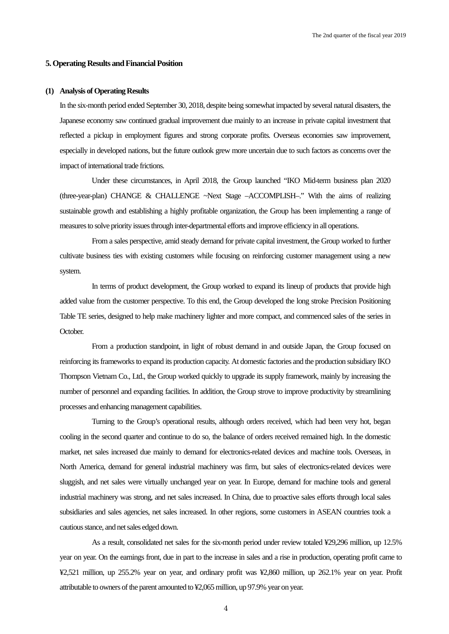#### **5. Operating Results and Financial Position**

#### **(1) Analysis of Operating Results**

In the six-month period ended September 30, 2018, despite being somewhat impacted by several natural disasters, the Japanese economy saw continued gradual improvement due mainly to an increase in private capital investment that reflected a pickup in employment figures and strong corporate profits. Overseas economies saw improvement, especially in developed nations, but the future outlook grew more uncertain due to such factors as concerns over the impact of international trade frictions.

Under these circumstances, in April 2018, the Group launched "IKO Mid-term business plan 2020 (three-year-plan) CHANGE & CHALLENGE ~Next Stage –ACCOMPLISH–." With the aims of realizing sustainable growth and establishing a highly profitable organization, the Group has been implementing a range of measures to solve priority issues through inter-departmental efforts and improve efficiency in all operations.

From a sales perspective, amid steady demand for private capital investment, the Group worked to further cultivate business ties with existing customers while focusing on reinforcing customer management using a new system.

In terms of product development, the Group worked to expand its lineup of products that provide high added value from the customer perspective. To this end, the Group developed the long stroke Precision Positioning Table TE series, designed to help make machinery lighter and more compact, and commenced sales of the series in October.

From a production standpoint, in light of robust demand in and outside Japan, the Group focused on reinforcing its frameworks to expand its production capacity. At domestic factories and the production subsidiary IKO Thompson Vietnam Co., Ltd., the Group worked quickly to upgrade its supply framework, mainly by increasing the number of personnel and expanding facilities. In addition, the Group strove to improve productivity by streamlining processes and enhancing management capabilities.

Turning to the Group's operational results, although orders received, which had been very hot, began cooling in the second quarter and continue to do so, the balance of orders received remained high. In the domestic market, net sales increased due mainly to demand for electronics-related devices and machine tools. Overseas, in North America, demand for general industrial machinery was firm, but sales of electronics-related devices were sluggish, and net sales were virtually unchanged year on year. In Europe, demand for machine tools and general industrial machinery was strong, and net sales increased. In China, due to proactive sales efforts through local sales subsidiaries and sales agencies, net sales increased. In other regions, some customers in ASEAN countries took a cautious stance, and net sales edged down.

As a result, consolidated net sales for the six-month period under review totaled ¥29,296 million, up 12.5% year on year. On the earnings front, due in part to the increase in sales and a rise in production, operating profit came to ¥2,521 million, up 255.2% year on year, and ordinary profit was ¥2,860 million, up 262.1% year on year. Profit attributable to owners of the parent amounted to ¥2,065 million, up 97.9% year on year.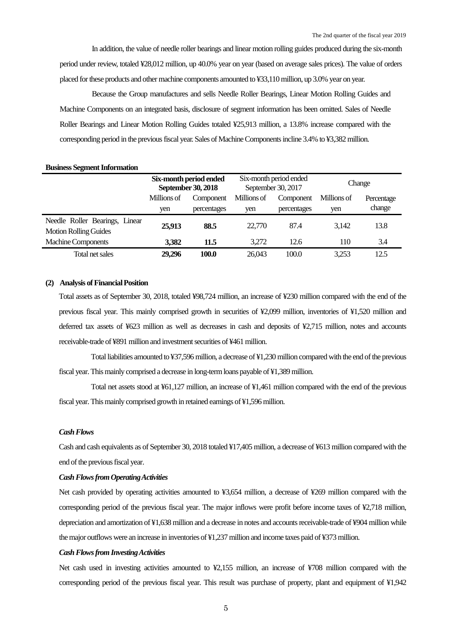In addition, the value of needle roller bearings and linear motion rolling guides produced during the six-month period under review, totaled ¥28,012 million, up 40.0% year on year (based on average sales prices). The value of orders placed for these products and other machine components amounted to ¥33,110 million, up 3.0% year on year.

Because the Group manufactures and sells Needle Roller Bearings, Linear Motion Rolling Guides and Machine Components on an integrated basis, disclosure of segment information has been omitted. Sales of Needle Roller Bearings and Linear Motion Rolling Guides totaled ¥25,913 million, a 13.8% increase compared with the corresponding period in the previous fiscal year. Sales of Machine Components incline 3.4% to ¥3,382 million.

#### **Business Segment Information**

|                                | Six-month period ended<br><b>September 30, 2018</b> |             |             | Six-month period ended<br>September 30, 2017 |             | Change     |
|--------------------------------|-----------------------------------------------------|-------------|-------------|----------------------------------------------|-------------|------------|
|                                | Millions of                                         | Component   | Millions of | Component                                    | Millions of | Percentage |
|                                | yen                                                 | percentages | yen         | percentages                                  | yen         | change     |
| Needle Roller Bearings, Linear | 25,913                                              | 88.5        | 22,770      | 87.4                                         | 3.142       | 13.8       |
| <b>Motion Rolling Guides</b>   |                                                     |             |             |                                              |             |            |
| <b>Machine Components</b>      | 3,382                                               | 11.5        | 3,272       | 12.6                                         | 110         | 3.4        |
| Total net sales                | 29,296                                              | 100.0       | 26,043      | 100.0                                        | 3,253       | 12.5       |

#### **(2) Analysis of Financial Position**

Total assets as of September 30, 2018, totaled ¥98,724 million, an increase of ¥230 million compared with the end of the previous fiscal year. This mainly comprised growth in securities of ¥2,099 million, inventories of ¥1,520 million and deferred tax assets of ¥623 million as well as decreases in cash and deposits of ¥2,715 million, notes and accounts receivable-trade of ¥891 million and investment securities of ¥461 million.

Total liabilities amounted to ¥37,596 million, a decrease of ¥1,230 million compared with the end of the previous fiscal year. This mainly comprised a decrease in long-term loans payable of ¥1,389million.

Total net assets stood at ¥61,127 million, an increase of ¥1,461 million compared with the end of the previous fiscal year. This mainly comprised growth in retained earnings of ¥1,596 million.

## *Cash Flows*

Cash and cash equivalents as of September 30, 2018 totaled ¥17,405 million, a decrease of ¥613 million compared with the end of the previous fiscal year.

### *Cash Flows from Operating Activities*

Net cash provided by operating activities amounted to ¥3,654 million, a decrease of ¥269 million compared with the corresponding period of the previous fiscal year. The major inflows were profit before income taxes of ¥2,718 million, depreciation and amortization of ¥1,638 million and a decrease in notes and accounts receivable-trade of ¥904 million while the major outflows were an increase in inventories of ¥1,237 million and income taxes paid of ¥373 million.

#### *Cash Flows from Investing Activities*

Net cash used in investing activities amounted to ¥2,155 million, an increase of ¥708 million compared with the corresponding period of the previous fiscal year. This result was purchase of property, plant and equipment of ¥1,942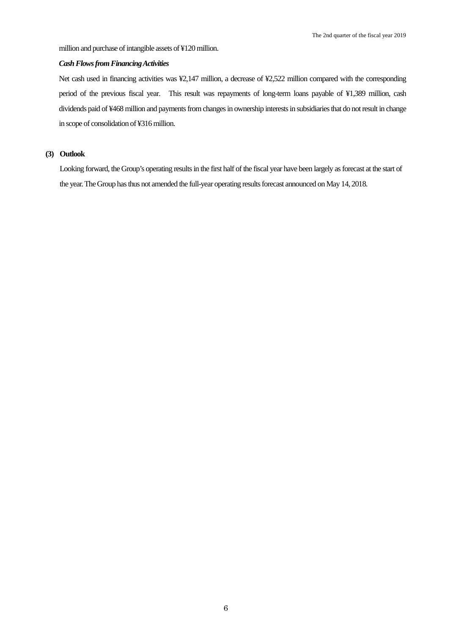million and purchase of intangible assets of ¥120 million.

### *Cash Flows from Financing Activities*

Net cash used in financing activities was ¥2,147 million, a decrease of ¥2,522 million compared with the corresponding period of the previous fiscal year. This result was repayments of long-term loans payable of ¥1,389 million, cash dividends paid of ¥468 million and payments from changes in ownership interests in subsidiaries that do not result in change in scope of consolidation of ¥316 million.

### **(3) Outlook**

Looking forward, the Group's operating results in the first half of the fiscal year have been largely as forecast at the start of the year. The Group has thus not amended the full-year operating results forecast announced on May 14, 2018.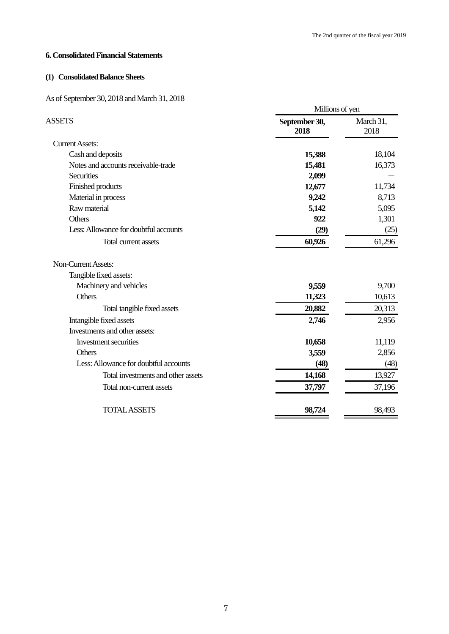## **6. Consolidated Financial Statements**

# **(1) Consolidated Balance Sheets**

# As of September 30, 2018 and March 31, 2018

|                                       | Millions of yen       |                   |  |
|---------------------------------------|-----------------------|-------------------|--|
| <b>ASSETS</b>                         | September 30,<br>2018 | March 31,<br>2018 |  |
| <b>Current Assets:</b>                |                       |                   |  |
| Cash and deposits                     | 15,388                | 18,104            |  |
| Notes and accounts receivable-trade   | 15,481                | 16,373            |  |
| <b>Securities</b>                     | 2,099                 |                   |  |
| Finished products                     | 12,677                | 11,734            |  |
| Material in process                   | 9,242                 | 8,713             |  |
| Raw material                          | 5,142                 | 5,095             |  |
| Others                                | 922                   | 1,301             |  |
| Less: Allowance for doubtful accounts | (29)                  | (25)              |  |
| Total current assets                  | 60,926                | 61,296            |  |
| <b>Non-Current Assets:</b>            |                       |                   |  |
| Tangible fixed assets:                |                       |                   |  |
| Machinery and vehicles                | 9,559                 | 9,700             |  |
| Others                                | 11,323                | 10,613            |  |
| Total tangible fixed assets           | 20,882                | 20,313            |  |
| Intangible fixed assets               | 2,746                 | 2,956             |  |
| Investments and other assets:         |                       |                   |  |
| Investment securities                 | 10,658                | 11,119            |  |
| <b>Others</b>                         | 3,559                 | 2,856             |  |
| Less: Allowance for doubtful accounts | (48)                  | (48)              |  |
| Total investments and other assets    | 14,168                | 13,927            |  |
| Total non-current assets              | 37,797                | 37,196            |  |
| <b>TOTAL ASSETS</b>                   | 98,724                | 98,493            |  |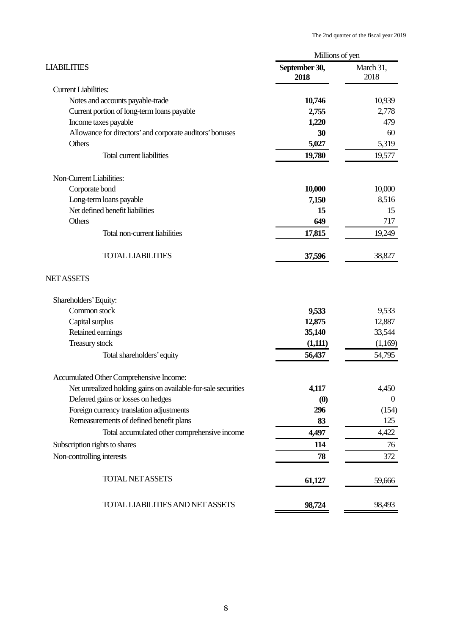|                       | Millions of yen   |
|-----------------------|-------------------|
| September 30,<br>2018 | March 31,<br>2018 |
|                       |                   |
| 10,746                | 10,939            |
| 2,755                 | 2,778             |
| 1,220                 | 479               |
| 30                    | 60                |
| 5,027                 | 5,319             |
| 19,780                | 19,577            |
|                       |                   |
| 10,000                | 10,000            |
| 7,150                 | 8,516             |
| 15                    | 15                |
| 649                   | 717               |
| 17,815                | 19,249            |
| 37,596                | 38,827            |
|                       |                   |
|                       |                   |
| 9,533                 | 9,533             |
| 12,875                | 12,887            |
| 35,140                | 33,544            |
| (1,111)               | (1,169)           |
| 56,437                | 54,795            |
|                       |                   |
| 4,117                 | 4,450             |
| (0)                   | $\mathbf{0}$      |
| 296                   | (154)             |
| 83                    | 125               |
| 4,497                 | 4,422             |
| 114                   | 76                |
| 78                    | 372               |
| 61,127                | 59,666            |
| 98,724                | 98,493            |
|                       |                   |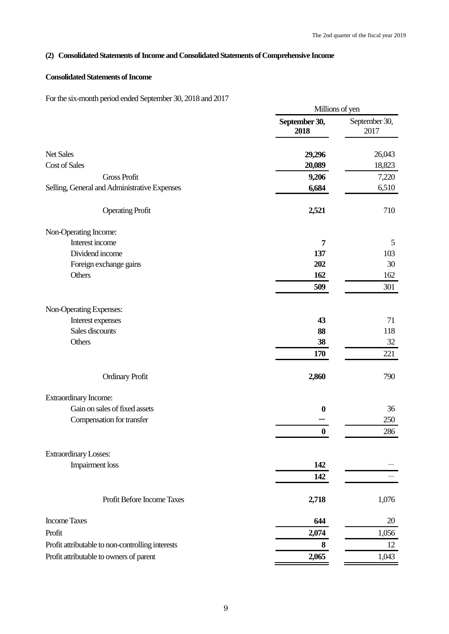## **(2) Consolidated Statements of Income and Consolidated Statements of Comprehensive Income**

## **Consolidated Statements of Income**

For the six-month period ended September 30, 2018 and 2017

|                                                  |                       | Millions of yen       |
|--------------------------------------------------|-----------------------|-----------------------|
|                                                  | September 30,<br>2018 | September 30,<br>2017 |
| <b>Net Sales</b>                                 | 29,296                | 26,043                |
| Cost of Sales                                    | 20,089                | 18,823                |
| <b>Gross Profit</b>                              | 9,206                 | 7,220                 |
| Selling, General and Administrative Expenses     | 6,684                 | 6,510                 |
| <b>Operating Profit</b>                          | 2,521                 | 710                   |
| Non-Operating Income:                            |                       |                       |
| Interest income                                  | 7                     | 5                     |
| Dividend income                                  | 137                   | 103                   |
| Foreign exchange gains                           | 202                   | 30                    |
| Others                                           | 162                   | 162                   |
|                                                  | 509                   | 301                   |
| Non-Operating Expenses:                          |                       |                       |
| Interest expenses                                | 43                    | 71                    |
| Sales discounts                                  | 88                    | 118                   |
| Others                                           | 38                    | 32                    |
|                                                  | 170                   | 221                   |
| <b>Ordinary Profit</b>                           | 2,860                 | 790                   |
| Extraordinary Income:                            |                       |                       |
| Gain on sales of fixed assets                    | $\boldsymbol{0}$      | 36                    |
| Compensation for transfer                        |                       | 250                   |
|                                                  | $\boldsymbol{0}$      | 286                   |
| <b>Extraordinary Losses:</b>                     |                       |                       |
| <b>Impairment</b> loss                           | 142                   |                       |
|                                                  | 142                   |                       |
| Profit Before Income Taxes                       | 2,718                 | 1,076                 |
| <b>Income Taxes</b>                              | 644                   | 20                    |
| Profit                                           | 2,074                 | 1,056                 |
| Profit attributable to non-controlling interests | 8                     | 12                    |
| Profit attributable to owners of parent          | 2,065                 | 1,043                 |
|                                                  |                       |                       |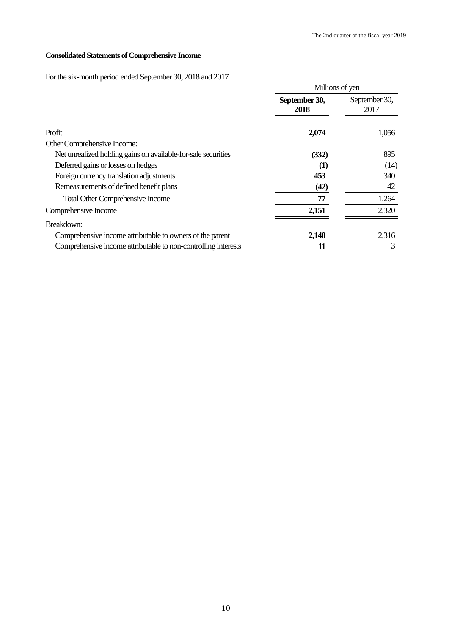# **Consolidated Statements of Comprehensive Income**

For the six-month period ended September 30, 2018 and 2017

|                                                                |                       | Millions of yen       |  |
|----------------------------------------------------------------|-----------------------|-----------------------|--|
|                                                                | September 30,<br>2018 | September 30,<br>2017 |  |
| Profit                                                         | 2,074                 | 1,056                 |  |
| Other Comprehensive Income:                                    |                       |                       |  |
| Net unrealized holding gains on available-for-sale securities  | (332)                 | 895                   |  |
| Deferred gains or losses on hedges                             | $\left(1\right)$      | (14)                  |  |
| Foreign currency translation adjustments                       | 453                   | 340                   |  |
| Remeasurements of defined benefit plans                        | (42)                  | 42                    |  |
| <b>Total Other Comprehensive Income</b>                        | 77                    | 1,264                 |  |
| Comprehensive Income                                           | 2,151                 | 2,320                 |  |
| Breakdown:                                                     |                       |                       |  |
| Comprehensive income attributable to owners of the parent      | 2,140                 | 2,316                 |  |
| Comprehensive income attributable to non-controlling interests | 11                    | 3                     |  |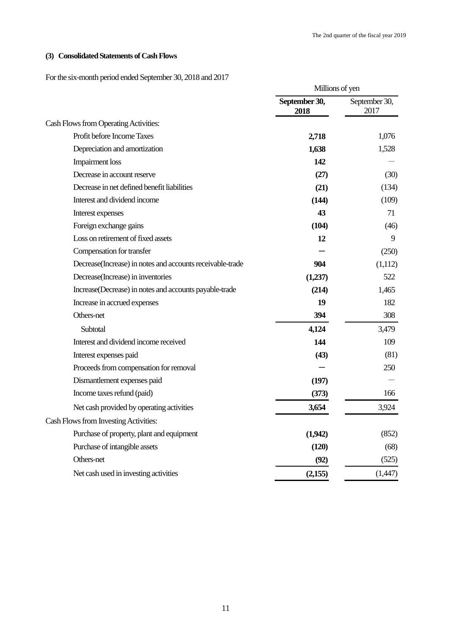# **(3) Consolidated Statements of Cash Flows**

For the six-month period ended September 30, 2018 and 2017

|                                                            | Millions of yen       |                       |
|------------------------------------------------------------|-----------------------|-----------------------|
|                                                            | September 30,<br>2018 | September 30,<br>2017 |
| Cash Flows from Operating Activities:                      |                       |                       |
| Profit before Income Taxes                                 | 2,718                 | 1,076                 |
| Depreciation and amortization                              | 1,638                 | 1,528                 |
| <b>Impairment</b> loss                                     | 142                   |                       |
| Decrease in account reserve                                | (27)                  | (30)                  |
| Decrease in net defined benefit liabilities                | (21)                  | (134)                 |
| Interest and dividend income                               | (144)                 | (109)                 |
| Interest expenses                                          | 43                    | 71                    |
| Foreign exchange gains                                     | (104)                 | (46)                  |
| Loss on retirement of fixed assets                         | 12                    | 9                     |
| Compensation for transfer                                  |                       | (250)                 |
| Decrease (Increase) in notes and accounts receivable-trade | 904                   | (1,112)               |
| Decrease(Increase) in inventories                          | (1,237)               | 522                   |
| Increase(Decrease) in notes and accounts payable-trade     | (214)                 | 1,465                 |
| Increase in accrued expenses                               | 19                    | 182                   |
| Others-net                                                 | 394                   | 308                   |
| Subtotal                                                   | 4,124                 | 3,479                 |
| Interest and dividend income received                      | 144                   | 109                   |
| Interest expenses paid                                     | (43)                  | (81)                  |
| Proceeds from compensation for removal                     |                       | 250                   |
| Dismantlement expenses paid                                | (197)                 |                       |
| Income taxes refund (paid)                                 | (373)                 | 166                   |
| Net cash provided by operating activities                  | 3,654                 | 3,924                 |
| Cash Flows from Investing Activities:                      |                       |                       |
| Purchase of property, plant and equipment                  | (1,942)               | (852)                 |
| Purchase of intangible assets                              | (120)                 | (68)                  |
| Others-net                                                 | (92)                  | (525)                 |
| Net cash used in investing activities                      | (2,155)               | (1,447)               |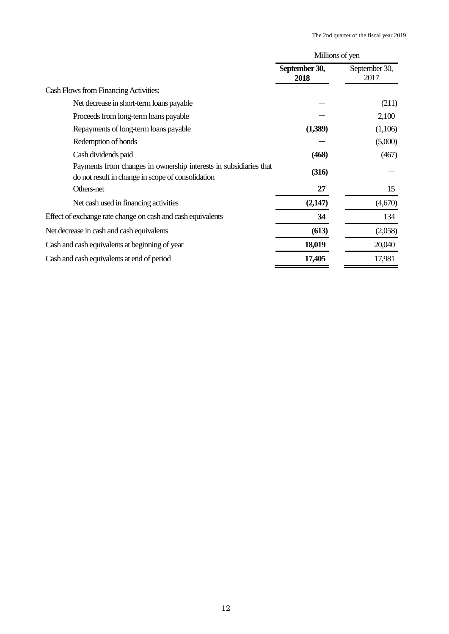|                                                                                                                        | Millions of yen       |                       |
|------------------------------------------------------------------------------------------------------------------------|-----------------------|-----------------------|
|                                                                                                                        | September 30,<br>2018 | September 30,<br>2017 |
| Cash Flows from Financing Activities:                                                                                  |                       |                       |
| Net decrease in short-term loans payable                                                                               |                       | (211)                 |
| Proceeds from long-term loans payable                                                                                  |                       | 2,100                 |
| Repayments of long-term loans payable                                                                                  | (1,389)               | (1,106)               |
| Redemption of bonds                                                                                                    |                       | (5,000)               |
| Cash dividends paid                                                                                                    | (468)                 | (467)                 |
| Payments from changes in ownership interests in subsidiaries that<br>do not result in change in scope of consolidation | (316)                 |                       |
| Others-net                                                                                                             | 27                    | 15                    |
| Net cash used in financing activities                                                                                  | (2,147)               | (4,670)               |
| Effect of exchange rate change on cash and cash equivalents                                                            | 34                    | 134                   |
| Net decrease in cash and cash equivalents                                                                              | (613)                 | (2,058)               |
| Cash and cash equivalents at beginning of year                                                                         | 18,019                | 20,040                |
| Cash and cash equivalents at end of period                                                                             | 17,405                | 17,981                |